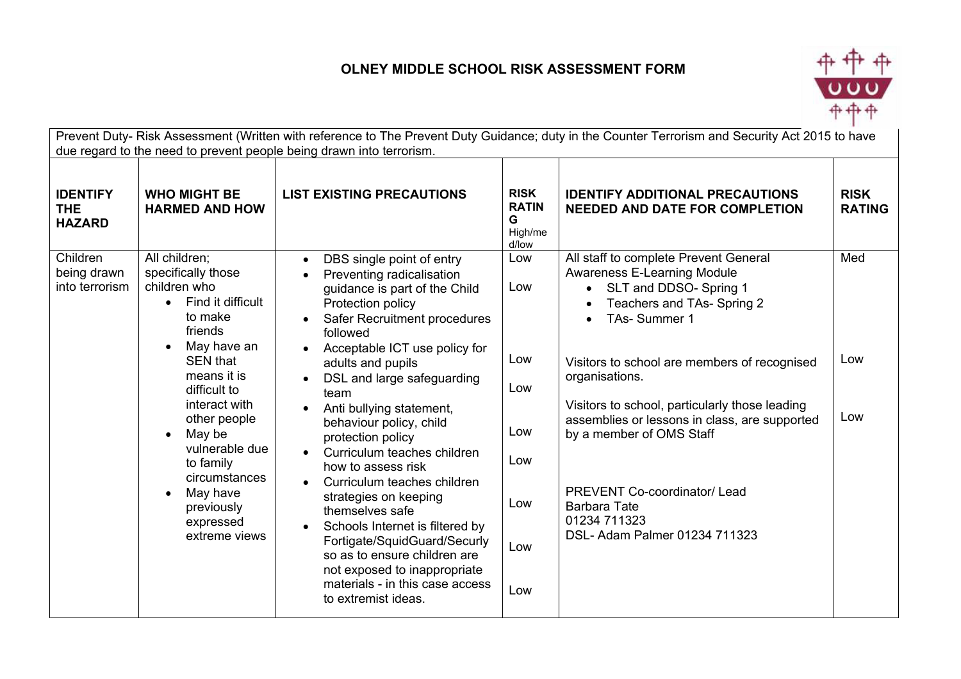## **OLNEY MIDDLE SCHOOL RISK ASSESSMENT FORM**



|                                                |                                                                                                                                                                                                                             | due regard to the need to prevent people being drawn into terrorism.                                                                                                                                                                                                                           |                                                      | Prevent Duty- Risk Assessment (Written with reference to The Prevent Duty Guidance; duty in the Counter Terrorism and Security Act 2015 to have                                         |                              |  |
|------------------------------------------------|-----------------------------------------------------------------------------------------------------------------------------------------------------------------------------------------------------------------------------|------------------------------------------------------------------------------------------------------------------------------------------------------------------------------------------------------------------------------------------------------------------------------------------------|------------------------------------------------------|-----------------------------------------------------------------------------------------------------------------------------------------------------------------------------------------|------------------------------|--|
| <b>IDENTIFY</b><br><b>THE</b><br><b>HAZARD</b> | <b>WHO MIGHT BE</b><br><b>HARMED AND HOW</b>                                                                                                                                                                                | <b>LIST EXISTING PRECAUTIONS</b>                                                                                                                                                                                                                                                               | <b>RISK</b><br><b>RATIN</b><br>G<br>High/me<br>d/low | <b>IDENTIFY ADDITIONAL PRECAUTIONS</b><br><b>NEEDED AND DATE FOR COMPLETION</b>                                                                                                         | <b>RISK</b><br><b>RATING</b> |  |
| Children<br>being drawn<br>into terrorism      | All children;<br>specifically those<br>children who<br>Find it difficult<br>$\bullet$<br>to make<br>friends<br>May have an<br>$\bullet$                                                                                     | DBS single point of entry<br>$\bullet$<br>Preventing radicalisation<br>guidance is part of the Child<br>Protection policy<br>Safer Recruitment procedures<br>followed<br>Acceptable ICT use policy for<br>$\bullet$                                                                            | Low<br>Low                                           | All staff to complete Prevent General<br><b>Awareness E-Learning Module</b><br>SLT and DDSO- Spring 1<br>Teachers and TAs- Spring 2<br>TAs-Summer 1                                     | Med                          |  |
|                                                | <b>SEN that</b><br>means it is<br>difficult to<br>interact with<br>other people<br>May be<br>$\bullet$<br>vulnerable due<br>to family<br>circumstances<br>May have<br>$\bullet$<br>previously<br>expressed<br>extreme views | adults and pupils<br>DSL and large safeguarding<br>team                                                                                                                                                                                                                                        | Low<br>Low                                           | Visitors to school are members of recognised<br>organisations.<br>Visitors to school, particularly those leading                                                                        | Low                          |  |
|                                                |                                                                                                                                                                                                                             | Anti bullying statement,<br>behaviour policy, child<br>protection policy<br>Curriculum teaches children<br>$\bullet$<br>how to assess risk                                                                                                                                                     | Low<br>Low                                           | assemblies or lessons in class, are supported<br>by a member of OMS Staff<br><b>PREVENT Co-coordinator/Lead</b><br><b>Barbara Tate</b><br>01234 711323<br>DSL- Adam Palmer 01234 711323 | Low                          |  |
|                                                |                                                                                                                                                                                                                             | Curriculum teaches children<br>$\bullet$<br>strategies on keeping<br>themselves safe<br>Schools Internet is filtered by<br>$\bullet$<br>Fortigate/SquidGuard/Securly<br>so as to ensure children are<br>not exposed to inappropriate<br>materials - in this case access<br>to extremist ideas. | Low                                                  |                                                                                                                                                                                         |                              |  |
|                                                |                                                                                                                                                                                                                             |                                                                                                                                                                                                                                                                                                | Low                                                  |                                                                                                                                                                                         |                              |  |
|                                                |                                                                                                                                                                                                                             |                                                                                                                                                                                                                                                                                                | Low                                                  |                                                                                                                                                                                         |                              |  |